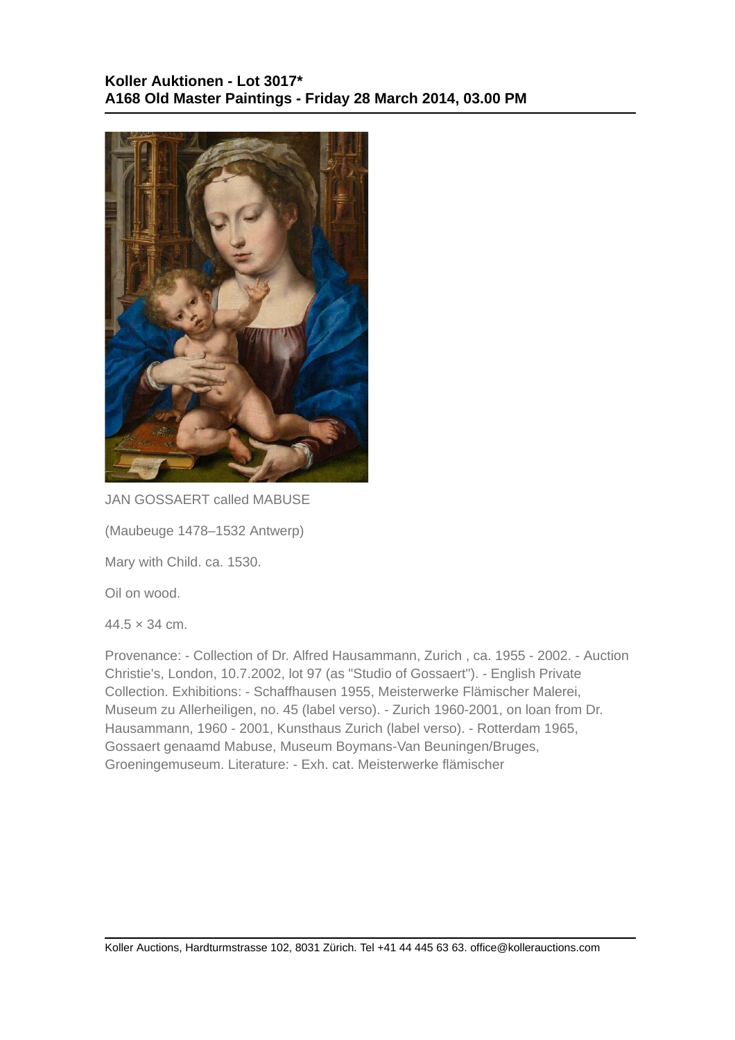

JAN GOSSAERT called MABUSE

(Maubeuge 1478–1532 Antwerp)

Mary with Child. ca. 1530.

Oil on wood.

 $44.5 \times 34$  cm.

Provenance: - Collection of Dr. Alfred Hausammann, Zurich , ca. 1955 - 2002. - Auction Christie's, London, 10.7.2002, lot 97 (as "Studio of Gossaert"). - English Private Collection. Exhibitions: - Schaffhausen 1955, Meisterwerke Flämischer Malerei, Museum zu Allerheiligen, no. 45 (label verso). - Zurich 1960-2001, on loan from Dr. Hausammann, 1960 - 2001, Kunsthaus Zurich (label verso). - Rotterdam 1965, Gossaert genaamd Mabuse, Museum Boymans-Van Beuningen/Bruges, Groeningemuseum. Literature: - Exh. cat. Meisterwerke flämischer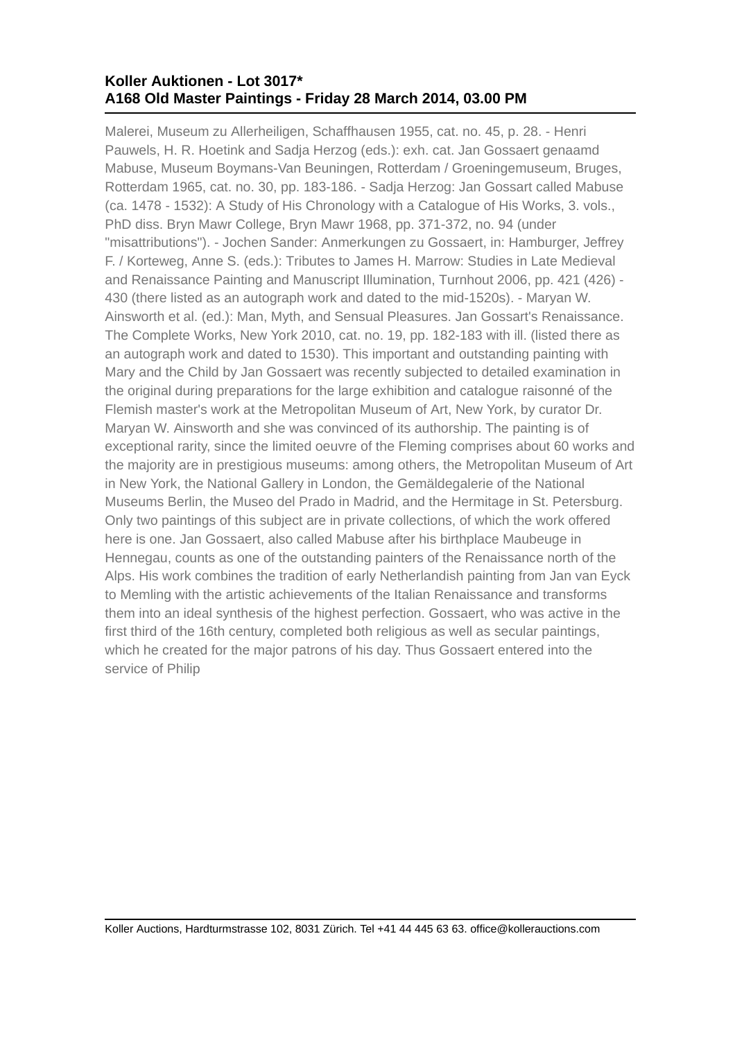## **Koller Auktionen - Lot 3017\* A168 Old Master Paintings - Friday 28 March 2014, 03.00 PM**

Malerei, Museum zu Allerheiligen, Schaffhausen 1955, cat. no. 45, p. 28. - Henri Pauwels, H. R. Hoetink and Sadja Herzog (eds.): exh. cat. Jan Gossaert genaamd Mabuse, Museum Boymans-Van Beuningen, Rotterdam / Groeningemuseum, Bruges, Rotterdam 1965, cat. no. 30, pp. 183-186. - Sadja Herzog: Jan Gossart called Mabuse (ca. 1478 - 1532): A Study of His Chronology with a Catalogue of His Works, 3. vols., PhD diss. Bryn Mawr College, Bryn Mawr 1968, pp. 371-372, no. 94 (under "misattributions"). - Jochen Sander: Anmerkungen zu Gossaert, in: Hamburger, Jeffrey F. / Korteweg, Anne S. (eds.): Tributes to James H. Marrow: Studies in Late Medieval and Renaissance Painting and Manuscript Illumination, Turnhout 2006, pp. 421 (426) - 430 (there listed as an autograph work and dated to the mid-1520s). - Maryan W. Ainsworth et al. (ed.): Man, Myth, and Sensual Pleasures. Jan Gossart's Renaissance. The Complete Works, New York 2010, cat. no. 19, pp. 182-183 with ill. (listed there as an autograph work and dated to 1530). This important and outstanding painting with Mary and the Child by Jan Gossaert was recently subjected to detailed examination in the original during preparations for the large exhibition and catalogue raisonné of the Flemish master's work at the Metropolitan Museum of Art, New York, by curator Dr. Maryan W. Ainsworth and she was convinced of its authorship. The painting is of exceptional rarity, since the limited oeuvre of the Fleming comprises about 60 works and the majority are in prestigious museums: among others, the Metropolitan Museum of Art in New York, the National Gallery in London, the Gemäldegalerie of the National Museums Berlin, the Museo del Prado in Madrid, and the Hermitage in St. Petersburg. Only two paintings of this subject are in private collections, of which the work offered here is one. Jan Gossaert, also called Mabuse after his birthplace Maubeuge in Hennegau, counts as one of the outstanding painters of the Renaissance north of the Alps. His work combines the tradition of early Netherlandish painting from Jan van Eyck to Memling with the artistic achievements of the Italian Renaissance and transforms them into an ideal synthesis of the highest perfection. Gossaert, who was active in the first third of the 16th century, completed both religious as well as secular paintings, which he created for the major patrons of his day. Thus Gossaert entered into the service of Philip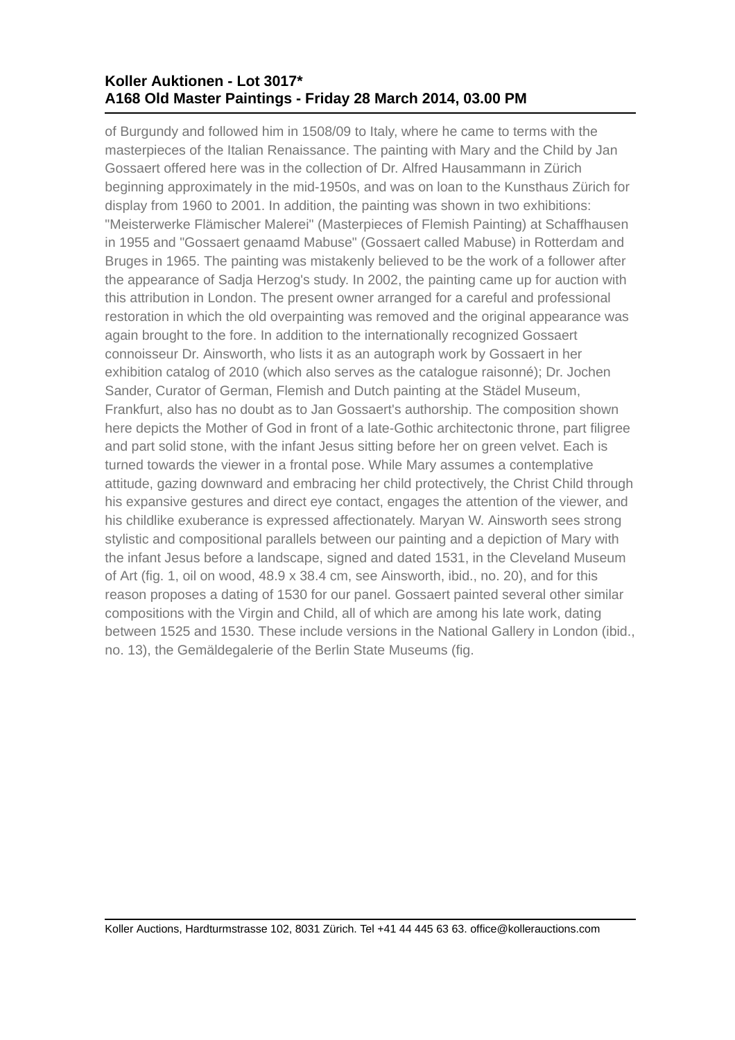## **Koller Auktionen - Lot 3017\* A168 Old Master Paintings - Friday 28 March 2014, 03.00 PM**

of Burgundy and followed him in 1508/09 to Italy, where he came to terms with the masterpieces of the Italian Renaissance. The painting with Mary and the Child by Jan Gossaert offered here was in the collection of Dr. Alfred Hausammann in Zürich beginning approximately in the mid-1950s, and was on loan to the Kunsthaus Zürich for display from 1960 to 2001. In addition, the painting was shown in two exhibitions: "Meisterwerke Flämischer Malerei" (Masterpieces of Flemish Painting) at Schaffhausen in 1955 and "Gossaert genaamd Mabuse" (Gossaert called Mabuse) in Rotterdam and Bruges in 1965. The painting was mistakenly believed to be the work of a follower after the appearance of Sadja Herzog's study. In 2002, the painting came up for auction with this attribution in London. The present owner arranged for a careful and professional restoration in which the old overpainting was removed and the original appearance was again brought to the fore. In addition to the internationally recognized Gossaert connoisseur Dr. Ainsworth, who lists it as an autograph work by Gossaert in her exhibition catalog of 2010 (which also serves as the catalogue raisonné); Dr. Jochen Sander, Curator of German, Flemish and Dutch painting at the Städel Museum, Frankfurt, also has no doubt as to Jan Gossaert's authorship. The composition shown here depicts the Mother of God in front of a late-Gothic architectonic throne, part filigree and part solid stone, with the infant Jesus sitting before her on green velvet. Each is turned towards the viewer in a frontal pose. While Mary assumes a contemplative attitude, gazing downward and embracing her child protectively, the Christ Child through his expansive gestures and direct eye contact, engages the attention of the viewer, and his childlike exuberance is expressed affectionately. Maryan W. Ainsworth sees strong stylistic and compositional parallels between our painting and a depiction of Mary with the infant Jesus before a landscape, signed and dated 1531, in the Cleveland Museum of Art (fig. 1, oil on wood, 48.9 x 38.4 cm, see Ainsworth, ibid., no. 20), and for this reason proposes a dating of 1530 for our panel. Gossaert painted several other similar compositions with the Virgin and Child, all of which are among his late work, dating between 1525 and 1530. These include versions in the National Gallery in London (ibid., no. 13), the Gemäldegalerie of the Berlin State Museums (fig.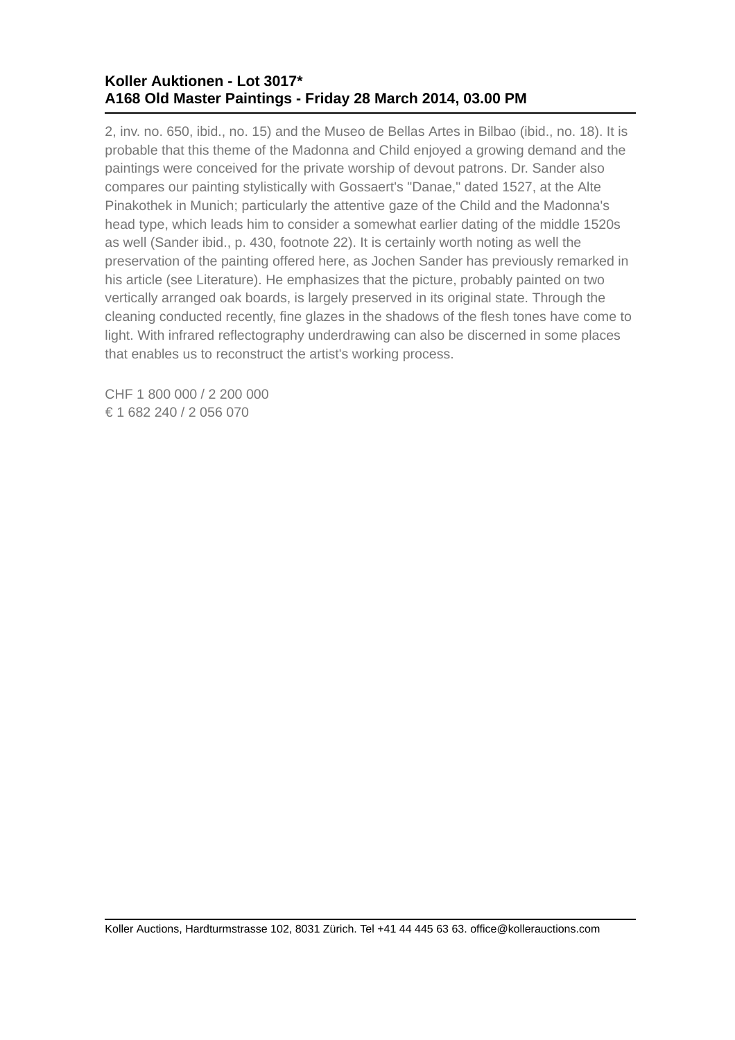## **Koller Auktionen - Lot 3017\* A168 Old Master Paintings - Friday 28 March 2014, 03.00 PM**

2, inv. no. 650, ibid., no. 15) and the Museo de Bellas Artes in Bilbao (ibid., no. 18). It is probable that this theme of the Madonna and Child enjoyed a growing demand and the paintings were conceived for the private worship of devout patrons. Dr. Sander also compares our painting stylistically with Gossaert's "Danae," dated 1527, at the Alte Pinakothek in Munich; particularly the attentive gaze of the Child and the Madonna's head type, which leads him to consider a somewhat earlier dating of the middle 1520s as well (Sander ibid., p. 430, footnote 22). It is certainly worth noting as well the preservation of the painting offered here, as Jochen Sander has previously remarked in his article (see Literature). He emphasizes that the picture, probably painted on two vertically arranged oak boards, is largely preserved in its original state. Through the cleaning conducted recently, fine glazes in the shadows of the flesh tones have come to light. With infrared reflectography underdrawing can also be discerned in some places that enables us to reconstruct the artist's working process.

CHF 1 800 000 / 2 200 000 € 1 682 240 / 2 056 070

Koller Auctions, Hardturmstrasse 102, 8031 Zürich. Tel +41 44 445 63 63. office@kollerauctions.com